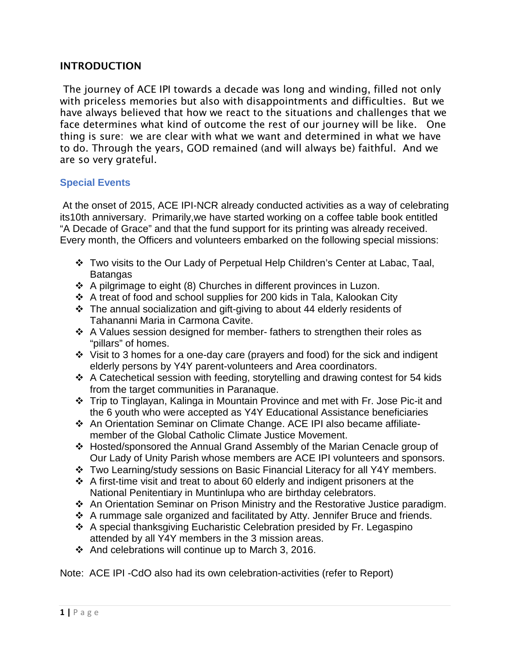## INTRODUCTION

The journey of ACE IPI towards a decade was long and winding, filled not only with priceless memories but also with disappointments and difficulties. But we have always believed that how we react to the situations and challenges that we face determines what kind of outcome the rest of our journey will be like. One thing is sure: we are clear with what we want and determined in what we have to do. Through the years, GOD remained (and will always be) faithful. And we are so very grateful.

## **Special Events**

At the onset of 2015, ACE IPI-NCR already conducted activities as a way of celebrating its10th anniversary. Primarily,we have started working on a coffee table book entitled "A Decade of Grace" and that the fund support for its printing was already received. Every month, the Officers and volunteers embarked on the following special missions:

- Two visits to the Our Lady of Perpetual Help Children's Center at Labac, Taal, **Batangas**
- A pilgrimage to eight (8) Churches in different provinces in Luzon.
- A treat of food and school supplies for 200 kids in Tala, Kalookan City
- The annual socialization and gift-giving to about 44 elderly residents of Tahananni Maria in Carmona Cavite.
- $\div$  A Values session designed for member- fathers to strengthen their roles as "pillars" of homes.
- $\cdot$  Visit to 3 homes for a one-day care (prayers and food) for the sick and indigent elderly persons by Y4Y parent-volunteers and Area coordinators.
- $\div$  A Catechetical session with feeding, storytelling and drawing contest for 54 kids from the target communities in Paranaque.
- Trip to Tinglayan, Kalinga in Mountain Province and met with Fr. Jose Pic-it and the 6 youth who were accepted as Y4Y Educational Assistance beneficiaries
- An Orientation Seminar on Climate Change. ACE IPI also became affiliatemember of the Global Catholic Climate Justice Movement.
- Hosted/sponsored the Annual Grand Assembly of the Marian Cenacle group of Our Lady of Unity Parish whose members are ACE IPI volunteers and sponsors.
- Two Learning/study sessions on Basic Financial Literacy for all Y4Y members.
- $\cdot$  A first-time visit and treat to about 60 elderly and indigent prisoners at the National Penitentiary in Muntinlupa who are birthday celebrators.
- An Orientation Seminar on Prison Ministry and the Restorative Justice paradigm.
- A rummage sale organized and facilitated by Atty. Jennifer Bruce and friends.
- A special thanksgiving Eucharistic Celebration presided by Fr. Legaspino attended by all Y4Y members in the 3 mission areas.
- $\div$  And celebrations will continue up to March 3, 2016.

Note: ACE IPI -CdO also had its own celebration-activities (refer to Report)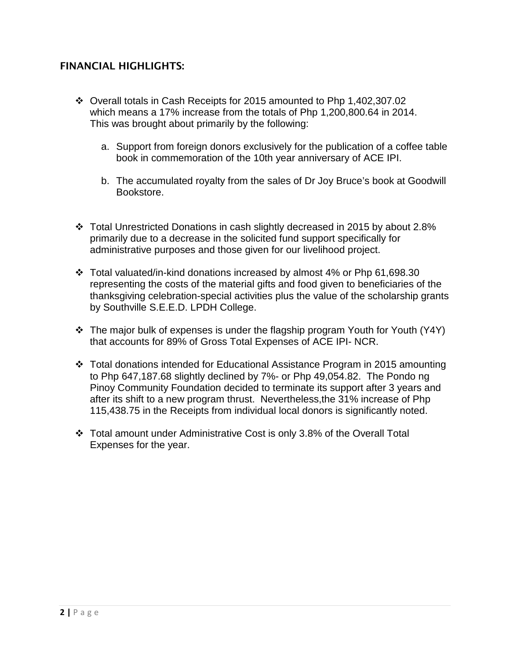## FINANCIAL HIGHLIGHTS:

- Overall totals in Cash Receipts for 2015 amounted to Php 1,402,307.02 which means a 17% increase from the totals of Php 1,200,800.64 in 2014. This was brought about primarily by the following:
	- a. Support from foreign donors exclusively for the publication of a coffee table book in commemoration of the 10th year anniversary of ACE IPI.
	- b. The accumulated royalty from the sales of Dr Joy Bruce's book at Goodwill Bookstore.
- Total Unrestricted Donations in cash slightly decreased in 2015 by about 2.8% primarily due to a decrease in the solicited fund support specifically for administrative purposes and those given for our livelihood project.
- $\div$  Total valuated/in-kind donations increased by almost 4% or Php 61,698.30 representing the costs of the material gifts and food given to beneficiaries of the thanksgiving celebration-special activities plus the value of the scholarship grants by Southville S.E.E.D. LPDH College.
- The major bulk of expenses is under the flagship program Youth for Youth (Y4Y) that accounts for 89% of Gross Total Expenses of ACE IPI- NCR.
- Total donations intended for Educational Assistance Program in 2015 amounting to Php 647,187.68 slightly declined by 7%- or Php 49,054.82. The Pondo ng Pinoy Community Foundation decided to terminate its support after 3 years and after its shift to a new program thrust. Nevertheless,the 31% increase of Php 115,438.75 in the Receipts from individual local donors is significantly noted.
- Total amount under Administrative Cost is only 3.8% of the Overall Total Expenses for the year.